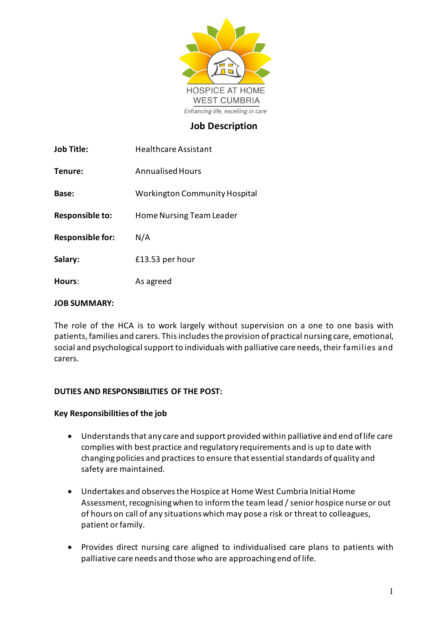

## **Job Description**

| <b>Job Title:</b>       | <b>Healthcare Assistant</b>          |  |
|-------------------------|--------------------------------------|--|
| Tenure:                 | Annualised Hours                     |  |
| Base:                   | <b>Workington Community Hospital</b> |  |
| <b>Responsible to:</b>  | Home Nursing Team Leader             |  |
| <b>Responsible for:</b> | N/A                                  |  |
| Salary:                 | £13.53 per hour                      |  |
| Hours:                  | As agreed                            |  |

#### **JOB SUMMARY:**

The role of the HCA is to work largely without supervision on a one to one basis with patients, families and carers. This includes the provision of practical nursing care, emotional, social and psychological support to individuals with palliative care needs, their families and carers.

### **DUTIES AND RESPONSIBILITIES OF THE POST:**

#### **Key Responsibilities of the job**

- Understands that any care and support provided within palliative and end of life care complies with best practice and regulatory requirements and is up to date with changing policies and practices to ensure that essential standards of quality and safety are maintained.
- Undertakes and observes the Hospice at Home West Cumbria Initial Home Assessment, recognising when to informthe team lead / senior hospice nurse or out of hours on call of any situations which may pose a risk or threat to colleagues, patient or family.
- Provides direct nursing care aligned to individualised care plans to patients with palliative care needs and those who are approaching end of life.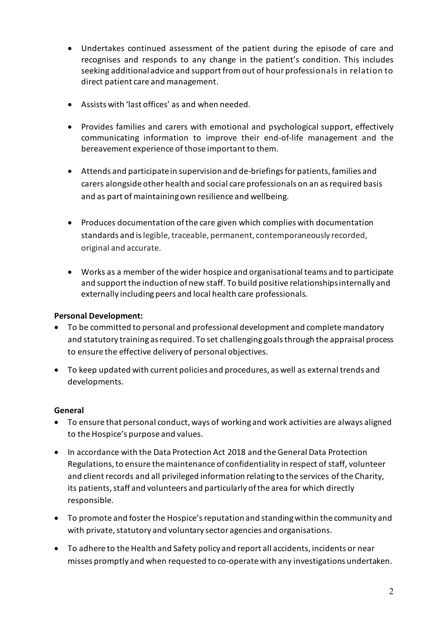- Undertakes continued assessment of the patient during the episode of care and recognises and responds to any change in the patient's condition. This includes seeking additional advice and support from out of hour professionals in relation to direct patient care and management.
- Assists with 'last offices' as and when needed.
- Provides families and carers with emotional and psychological support, effectively communicating information to improve their end-of-life management and the bereavement experience of those important to them.
- Attends and participate in supervision and de-briefings for patients, families and carers alongside other health and social care professionals on an as required basis and as part of maintaining own resilience and wellbeing.
- Produces documentation of the care given which complies with documentation standards and is legible, traceable, permanent, contemporaneously recorded, original and accurate.
- Works as a member of the wider hospice and organisational teams and to participate and support the induction of new staff. To build positive relationshipsinternally and externally including peers and local health care professionals.

## **Personal Development:**

- To be committed to personal and professional development and complete mandatory and statutory training as required. To set challenging goals through the appraisal process to ensure the effective delivery of personal objectives.
- To keep updated with current policies and procedures, as well as external trends and developments.

### **General**

- To ensure that personal conduct, ways of working and work activities are always aligned to the Hospice's purpose and values.
- In accordance with the Data Protection Act 2018 and the General Data Protection Regulations, to ensure the maintenance of confidentiality in respect of staff, volunteer and client records and all privileged information relating to the services of the Charity, its patients, staff and volunteers and particularly of the area for which directly responsible.
- To promote and foster the Hospice's reputation and standing within the community and with private, statutory and voluntary sector agencies and organisations.
- To adhere to the Health and Safety policy and report all accidents, incidents or near misses promptly and when requested to co-operate with any investigations undertaken.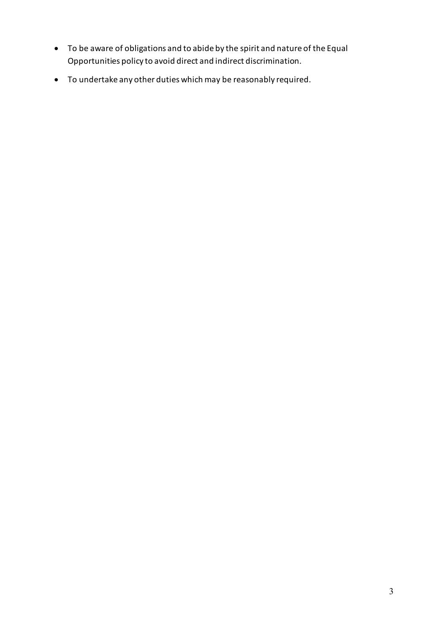- To be aware of obligations and to abide by the spirit and nature of the Equal Opportunities policy to avoid direct and indirect discrimination.
- To undertake any other duties which may be reasonably required.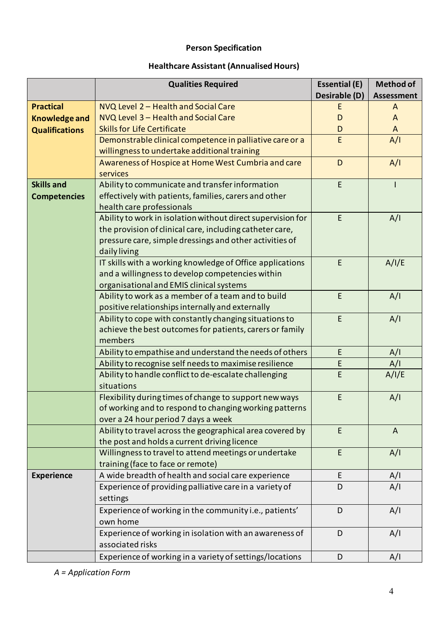# **Person Specification**

# **Healthcare Assistant (Annualised Hours)**

|                       | <b>Qualities Required</b>                                           | <b>Essential (E)</b> | <b>Method of</b>  |
|-----------------------|---------------------------------------------------------------------|----------------------|-------------------|
|                       |                                                                     | Desirable (D)        | <b>Assessment</b> |
| <b>Practical</b>      | NVQ Level 2 - Health and Social Care                                |                      | A                 |
| <b>Knowledge and</b>  | NVQ Level 3 - Health and Social Care                                | D                    | $\mathsf{A}$      |
| <b>Qualifications</b> | <b>Skills for Life Certificate</b>                                  | D                    | $\mathsf{A}$      |
|                       | Demonstrable clinical competence in palliative care or a            | E                    | A/I               |
|                       | willingness to undertake additional training                        |                      |                   |
|                       | Awareness of Hospice at Home West Cumbria and care<br>services      | D                    | A/I               |
| <b>Skills and</b>     | Ability to communicate and transfer information                     | E                    |                   |
| <b>Competencies</b>   | effectively with patients, families, carers and other               |                      |                   |
|                       | health care professionals                                           |                      |                   |
|                       | Ability to work in isolation without direct supervision for         | E                    | A/I               |
|                       | the provision of clinical care, including catheter care,            |                      |                   |
|                       | pressure care, simple dressings and other activities of             |                      |                   |
|                       | daily living                                                        |                      |                   |
|                       | IT skills with a working knowledge of Office applications           | E                    | A/I/E             |
|                       | and a willingness to develop competencies within                    |                      |                   |
|                       | organisational and EMIS clinical systems                            |                      |                   |
|                       | Ability to work as a member of a team and to build                  | E                    | A/I               |
|                       | positive relationships internally and externally                    |                      |                   |
|                       | Ability to cope with constantly changing situations to              | E                    | A/I               |
|                       | achieve the best outcomes for patients, carers or family            |                      |                   |
|                       | members                                                             |                      |                   |
|                       | Ability to empathise and understand the needs of others             | E                    | A/I               |
|                       | Ability to recognise self needs to maximise resilience              | E                    | A/I               |
|                       | Ability to handle conflict to de-escalate challenging<br>situations | E                    | A/I/E             |
|                       | Flexibility during times of change to support new ways              | E                    | A/I               |
|                       | of working and to respond to changing working patterns              |                      |                   |
|                       | over a 24 hour period 7 days a week                                 |                      |                   |
|                       | Ability to travel across the geographical area covered by           | E.                   | $\mathsf{A}$      |
|                       | the post and holds a current driving licence                        |                      |                   |
|                       | Willingness to travel to attend meetings or undertake               | E                    | A/I               |
|                       | training (face to face or remote)                                   |                      |                   |
| <b>Experience</b>     | A wide breadth of health and social care experience                 | E                    | A/I               |
|                       | Experience of providing palliative care in a variety of             | D                    | A/I               |
|                       | settings                                                            |                      |                   |
|                       | Experience of working in the community i.e., patients'              | D                    | A/I               |
|                       | own home                                                            |                      |                   |
|                       | Experience of working in isolation with an awareness of             | D                    | A/I               |
|                       | associated risks                                                    |                      |                   |
|                       | Experience of working in a variety of settings/locations            | D                    | A/I               |

*A = Application Form*